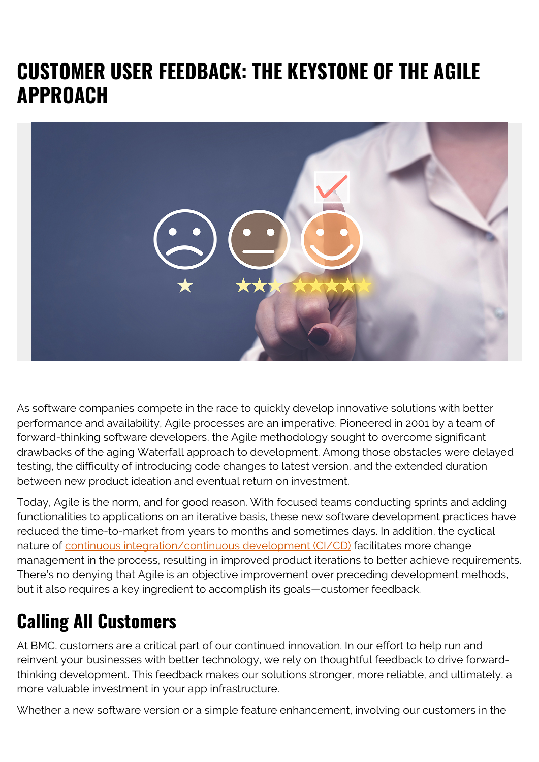## **CUSTOMER USER FEEDBACK: THE KEYSTONE OF THE AGILE APPROACH**



As software companies compete in the race to quickly develop innovative solutions with better performance and availability, Agile processes are an imperative. Pioneered in 2001 by a team of forward-thinking software developers, the Agile methodology sought to overcome significant drawbacks of the aging Waterfall approach to development. Among those obstacles were delayed testing, the difficulty of introducing code changes to latest version, and the extended duration between new product ideation and eventual return on investment.

Today, Agile is the norm, and for good reason. With focused teams conducting sprints and adding functionalities to applications on an iterative basis, these new software development practices have reduced the time-to-market from years to months and sometimes days. In addition, the cyclical nature of [continuous integration/continuous development \(CI/CD\)](https://blogs.bmc.com/blogs/what-is-ci-cd/) facilitates more change management in the process, resulting in improved product iterations to better achieve requirements. There's no denying that Agile is an objective improvement over preceding development methods, but it also requires a key ingredient to accomplish its goals—customer feedback.

## **Calling All Customers**

At BMC, customers are a critical part of our continued innovation. In our effort to help run and reinvent your businesses with better technology, we rely on thoughtful feedback to drive forwardthinking development. This feedback makes our solutions stronger, more reliable, and ultimately, a more valuable investment in your app infrastructure.

Whether a new software version or a simple feature enhancement, involving our customers in the